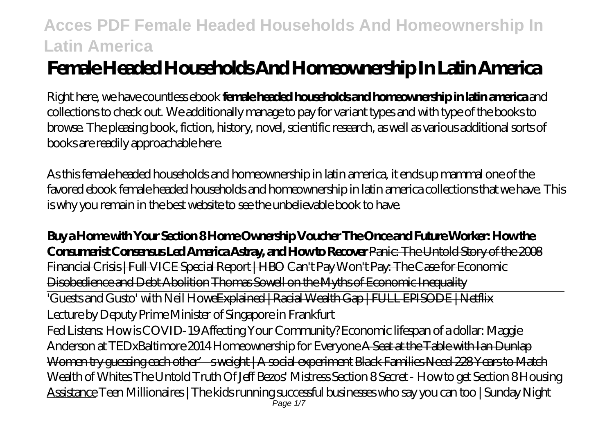# **Female Headed Households And Homeownership In Latin America**

Right here, we have countless ebook **female headed households and homeownership in latin america** and collections to check out. We additionally manage to pay for variant types and with type of the books to browse. The pleasing book, fiction, history, novel, scientific research, as well as various additional sorts of books are readily approachable here.

As this female headed households and homeownership in latin america, it ends up mammal one of the favored ebook female headed households and homeownership in latin america collections that we have. This is why you remain in the best website to see the unbelievable book to have.

**Buy a Home with Your Section 8 Home Ownership Voucher The Once and Future Worker: How the Consumerist Consensus Led America Astray, and How to Recover** Panic: The Untold Story of the 2008 Financial Crisis | Full VICE Special Report | HBO Can't Pay Won't Pay: The Case for Economic Disobedience and Debt Abolition Thomas Sowell on the Myths of Economic Inequality

'Guests and Gusto' with Neil HoweExplained | Racial Wealth Gap | FULL EPISODE | Netflix

Lecture by Deputy Prime Minister of Singapore in Frankfurt

Fed Listens: How is COVID-19 Affecting Your Community? Economic lifespan of a dollar: Maggie Anderson at TEDxBaltimore 2014 Homeownership for Everyone A Seat at the Table with Ian Dunlap Women try guessing each other' sweight | A social experiment Black Families Need 228 Years to Match Wealth of Whites The Untold Truth Of Jeff Bezos' Mistress Section 8 Secret - How to get Section 8 Housing Assistance Teen Millionaires | The kids running successful businesses who say you can too | Sunday Night Page 1/7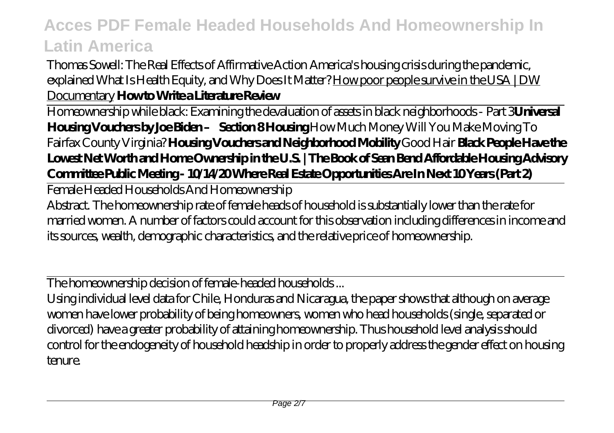Thomas Sowell: The Real Effects of Affirmative Action America's housing crisis during the pandemic, explained What Is Health Equity, and Why Does It Matter? How poor people survive in the USA | DW Documentary **How to Write a Literature Review**

Homeownership while black: Examining the devaluation of assets in black neighborhoods - Part 3**Universal Housing Vouchers by Joe Biden – Section 8 Housing** *How Much Money Will You Make Moving To Fairfax County Virginia?* **Housing Vouchers and Neighborhood Mobility** *Good Hair* **Black People Have the Lowest Net Worth and Home Ownership in the U.S. | The Book of Sean Bend Affordable Housing Advisory Committee Public Meeting - 10/14/20 Where Real Estate Opportunities Are In Next 10 Years (Part 2)**

Female Headed Households And Homeownership

Abstract. The homeownership rate of female heads of household is substantially lower than the rate for married women. A number of factors could account for this observation including differences in income and its sources, wealth, demographic characteristics, and the relative price of homeownership.

The homeownership decision of female-headed households ...

Using individual level data for Chile, Honduras and Nicaragua, the paper shows that although on average women have lower probability of being homeowners, women who head households (single, separated or divorced) have a greater probability of attaining homeownership. Thus household level analysis should control for the endogeneity of household headship in order to properly address the gender effect on housing tenure.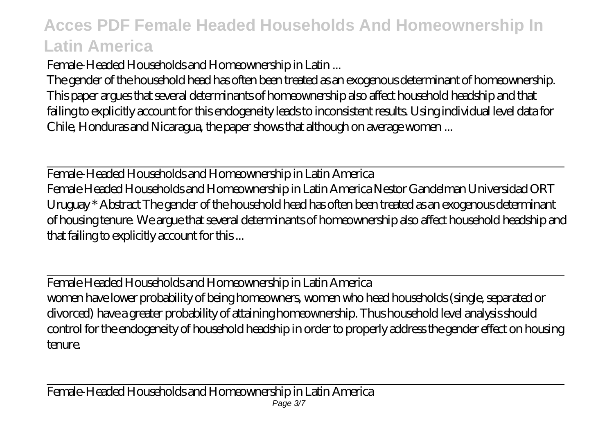Female-Headed Households and Homeownership in Latin ...

The gender of the household head has often been treated as an exogenous determinant of homeownership. This paper argues that several determinants of homeownership also affect household headship and that failing to explicitly account for this endogeneity leads to inconsistent results. Using individual level data for Chile, Honduras and Nicaragua, the paper shows that although on average women ...

Female-Headed Households and Homeownership in Latin America Female Headed Households and Homeownership in Latin America Nestor Gandelman Universidad ORT Uruguay \* Abstract The gender of the household head has often been treated as an exogenous determinant of housing tenure. We argue that several determinants of homeownership also affect household headship and that failing to explicitly account for this ...

Female Headed Households and Homeownership in Latin America women have lower probability of being homeowners, women who head households (single, separated or divorced) have a greater probability of attaining homeownership. Thus household level analysis should control for the endogeneity of household headship in order to properly address the gender effect on housing tenure.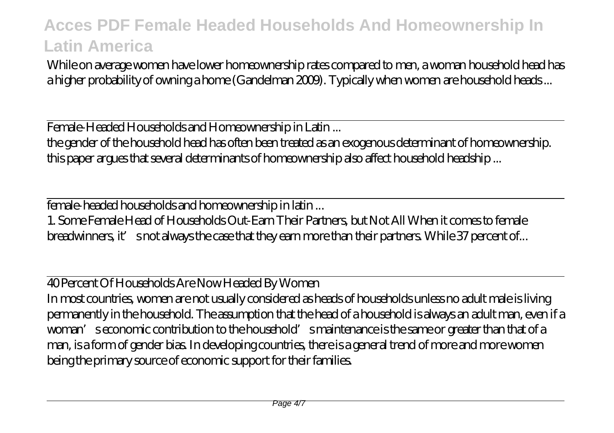While on average women have lower homeownership rates compared to men, a woman household head has a higher probability of owning a home (Gandelman 2009). Typically when women are household heads...

Female-Headed Households and Homeownership in Latin ... the gender of the household head has often been treated as an exogenous determinant of homeownership. this paper argues that several determinants of homeownership also affect household headship ...

female-headed households and homeownership in latin ...

1. Some Female Head of Households Out-Earn Their Partners, but Not All When it comes to female breadwinners, it' snot always the case that they earn more than their partners. While 37 percent of...

40 Percent Of Households Are Now Headed By Women

In most countries, women are not usually considered as heads of households unless no adult male is living permanently in the household. The assumption that the head of a household is always an adult man, even if a woman's economic contribution to the household's maintenance is the same or greater than that of a man, is a form of gender bias. In developing countries, there is a general trend of more and more women being the primary source of economic support for their families.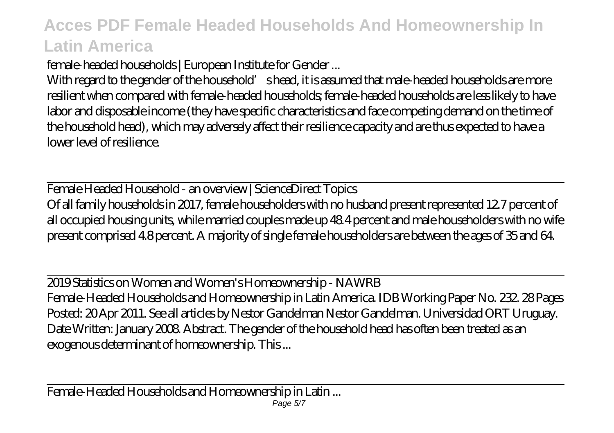female-headed households | European Institute for Gender ...

With regard to the gender of the household's head, it is assumed that male-headed households are more resilient when compared with female-headed households; female-headed households are less likely to have labor and disposable income (they have specific characteristics and face competing demand on the time of the household head), which may adversely affect their resilience capacity and are thus expected to have a lower level of resilience.

Female Headed Household - an overview | ScienceDirect Topics Of all family households in 2017, female householders with no husband present represented 12.7 percent of all occupied housing units, while married couples made up 48.4 percent and male householders with no wife present comprised 4.8 percent. A majority of single female householders are between the ages of 35 and 64.

2019 Statistics on Women and Women's Homeownership - NAWRB Female-Headed Households and Homeownership in Latin America. IDB Working Paper No. 232. 28 Pages Posted: 20 Apr 2011. See all articles by Nestor Gandelman Nestor Gandelman. Universidad ORT Uruguay. Date Written: January 2008. Abstract. The gender of the household head has often been treated as an exogenous determinant of homeownership. This ...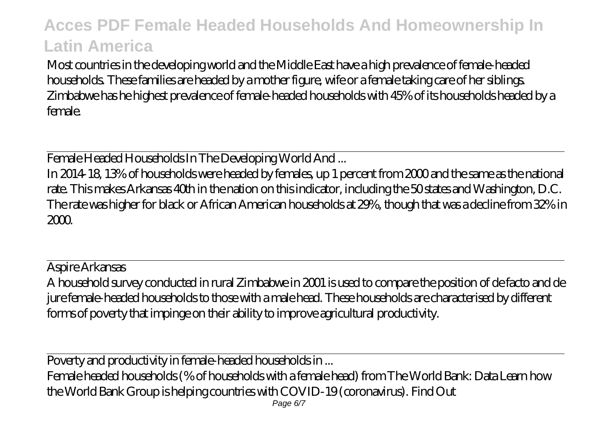Most countries in the developing world and the Middle East have a high prevalence of female-headed households. These families are headed by a mother figure, wife or a female taking care of her siblings. Zimbabwe has he highest prevalence of female-headed households with 45% of its households headed by a female.

Female Headed Households In The Developing World And ...

In 2014-18, 13% of households were headed by females, up 1 percent from 2000 and the same as the national rate. This makes Arkansas 40th in the nation on this indicator, including the 50 states and Washington, D.C. The rate was higher for black or African American households at 29%, though that was a decline from 32% in 2000.

Aspire Arkansas A household survey conducted in rural Zimbabwe in 2001 is used to compare the position of de facto and de jure female-headed households to those with a male head. These households are characterised by different forms of poverty that impinge on their ability to improve agricultural productivity.

Poverty and productivity in female-headed households in ...

Female headed households (% of households with a female head) from The World Bank: Data Learn how the World Bank Group is helping countries with COVID-19 (coronavirus). Find Out